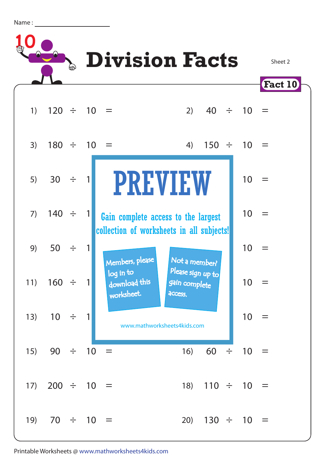Name :